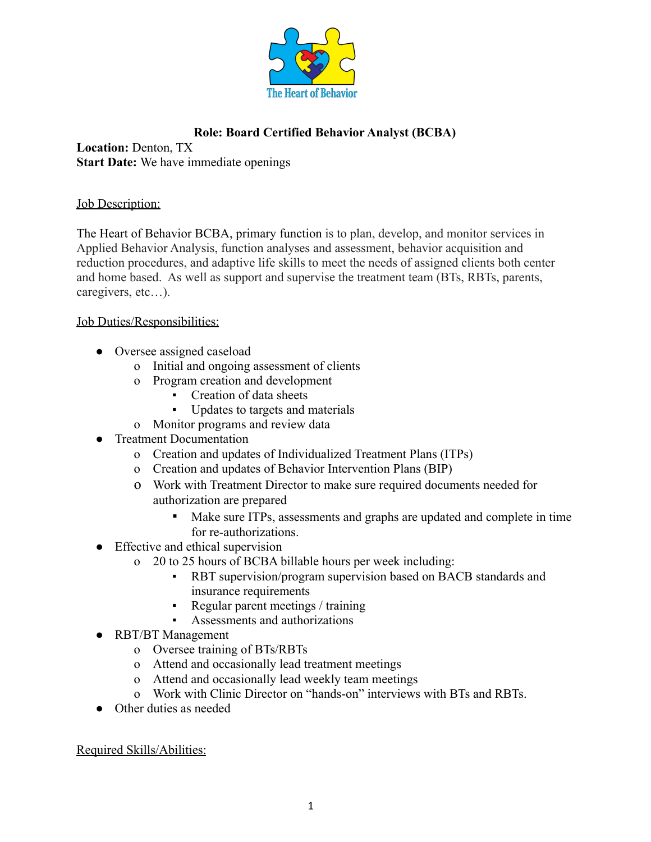

## **Role: Board Certified Behavior Analyst (BCBA)**

**Location:** Denton, TX **Start Date:** We have immediate openings

## Job Description:

The Heart of Behavior BCBA, primary function is to plan, develop, and monitor services in Applied Behavior Analysis, function analyses and assessment, behavior acquisition and reduction procedures, and adaptive life skills to meet the needs of assigned clients both center and home based. As well as support and supervise the treatment team (BTs, RBTs, parents, caregivers, etc…).

## Job Duties/Responsibilities:

- Oversee assigned caseload
	- o Initial and ongoing assessment of clients
	- o Program creation and development
		- Creation of data sheets
		- Updates to targets and materials
	- o Monitor programs and review data
- Treatment Documentation
	- o Creation and updates of Individualized Treatment Plans (ITPs)
	- o Creation and updates of Behavior Intervention Plans (BIP)
	- o Work with Treatment Director to make sure required documents needed for authorization are prepared
		- Make sure ITPs, assessments and graphs are updated and complete in time for re-authorizations.
- Effective and ethical supervision
	- o 20 to 25 hours of BCBA billable hours per week including:
		- RBT supervision/program supervision based on BACB standards and insurance requirements
		- Regular parent meetings / training
		- Assessments and authorizations
- RBT/BT Management
	- o Oversee training of BTs/RBTs
	- o Attend and occasionally lead treatment meetings
	- o Attend and occasionally lead weekly team meetings
	- o Work with Clinic Director on "hands-on" interviews with BTs and RBTs.
- Other duties as needed

Required Skills/Abilities: